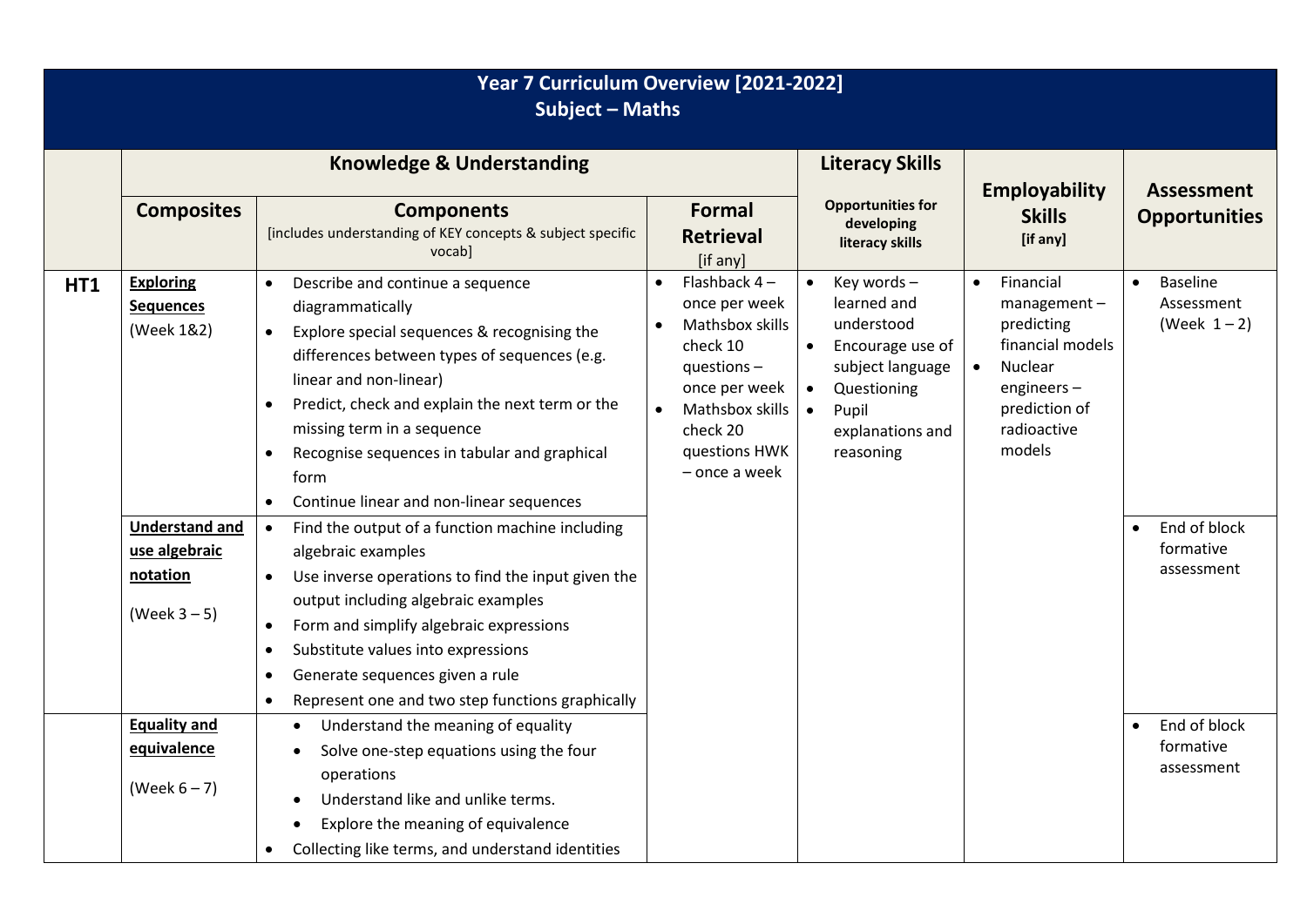| Year 7 Curriculum Overview [2021-2022]<br><b>Subject - Maths</b> |                                                                                                                           |                                                                                                                                                                                                                                                                                                                                                                                                                                                                                                                                                                                                                                                                                                                                                                      |                                                                                                                                                                                |                                                                                                                                                                     |                                                                                                                                                                |                                                                                                                     |  |  |
|------------------------------------------------------------------|---------------------------------------------------------------------------------------------------------------------------|----------------------------------------------------------------------------------------------------------------------------------------------------------------------------------------------------------------------------------------------------------------------------------------------------------------------------------------------------------------------------------------------------------------------------------------------------------------------------------------------------------------------------------------------------------------------------------------------------------------------------------------------------------------------------------------------------------------------------------------------------------------------|--------------------------------------------------------------------------------------------------------------------------------------------------------------------------------|---------------------------------------------------------------------------------------------------------------------------------------------------------------------|----------------------------------------------------------------------------------------------------------------------------------------------------------------|---------------------------------------------------------------------------------------------------------------------|--|--|
|                                                                  |                                                                                                                           | <b>Knowledge &amp; Understanding</b>                                                                                                                                                                                                                                                                                                                                                                                                                                                                                                                                                                                                                                                                                                                                 |                                                                                                                                                                                | <b>Literacy Skills</b>                                                                                                                                              | <b>Employability</b>                                                                                                                                           | <b>Assessment</b><br><b>Opportunities</b>                                                                           |  |  |
|                                                                  | <b>Composites</b>                                                                                                         | <b>Components</b><br>[includes understanding of KEY concepts & subject specific<br>vocabl                                                                                                                                                                                                                                                                                                                                                                                                                                                                                                                                                                                                                                                                            | <b>Formal</b><br><b>Retrieval</b><br>[if any]                                                                                                                                  | <b>Opportunities for</b><br>developing<br>literacy skills                                                                                                           | <b>Skills</b><br>[if any]                                                                                                                                      |                                                                                                                     |  |  |
| <b>HT1</b>                                                       | <b>Exploring</b><br><b>Sequences</b><br>(Week 1&2)<br><b>Understand and</b><br>use algebraic<br>notation<br>(Week $3-5$ ) | Describe and continue a sequence<br>$\bullet$<br>diagrammatically<br>Explore special sequences & recognising the<br>differences between types of sequences (e.g.<br>linear and non-linear)<br>Predict, check and explain the next term or the<br>missing term in a sequence<br>Recognise sequences in tabular and graphical<br>$\bullet$<br>form<br>Continue linear and non-linear sequences<br>Find the output of a function machine including<br>$\bullet$<br>algebraic examples<br>Use inverse operations to find the input given the<br>output including algebraic examples<br>Form and simplify algebraic expressions<br>Substitute values into expressions<br>$\bullet$<br>Generate sequences given a rule<br>Represent one and two step functions graphically | Flashback $4-$<br>$\bullet$<br>once per week<br>Mathsbox skills<br>check 10<br>questions $-$<br>once per week<br>Mathsbox skills<br>check 20<br>questions HWK<br>- once a week | Key words -<br>$\bullet$<br>learned and<br>understood<br>Encourage use of<br>subject language<br>Questioning<br>Pupil<br>$\bullet$<br>explanations and<br>reasoning | Financial<br>$\bullet$<br>$m$ anagement -<br>predicting<br>financial models<br>$\bullet$<br>Nuclear<br>engineers $-$<br>prediction of<br>radioactive<br>models | <b>Baseline</b><br>$\bullet$<br>Assessment<br>(Week $1-2$ )<br>End of block<br>$\bullet$<br>formative<br>assessment |  |  |
|                                                                  | <b>Equality and</b><br>equivalence<br>(Week $6-7$ )                                                                       | Understand the meaning of equality<br>$\bullet$<br>Solve one-step equations using the four<br>$\bullet$<br>operations<br>Understand like and unlike terms.<br>$\bullet$<br>Explore the meaning of equivalence<br>Collecting like terms, and understand identities                                                                                                                                                                                                                                                                                                                                                                                                                                                                                                    |                                                                                                                                                                                |                                                                                                                                                                     |                                                                                                                                                                | End of block<br>$\bullet$<br>formative<br>assessment                                                                |  |  |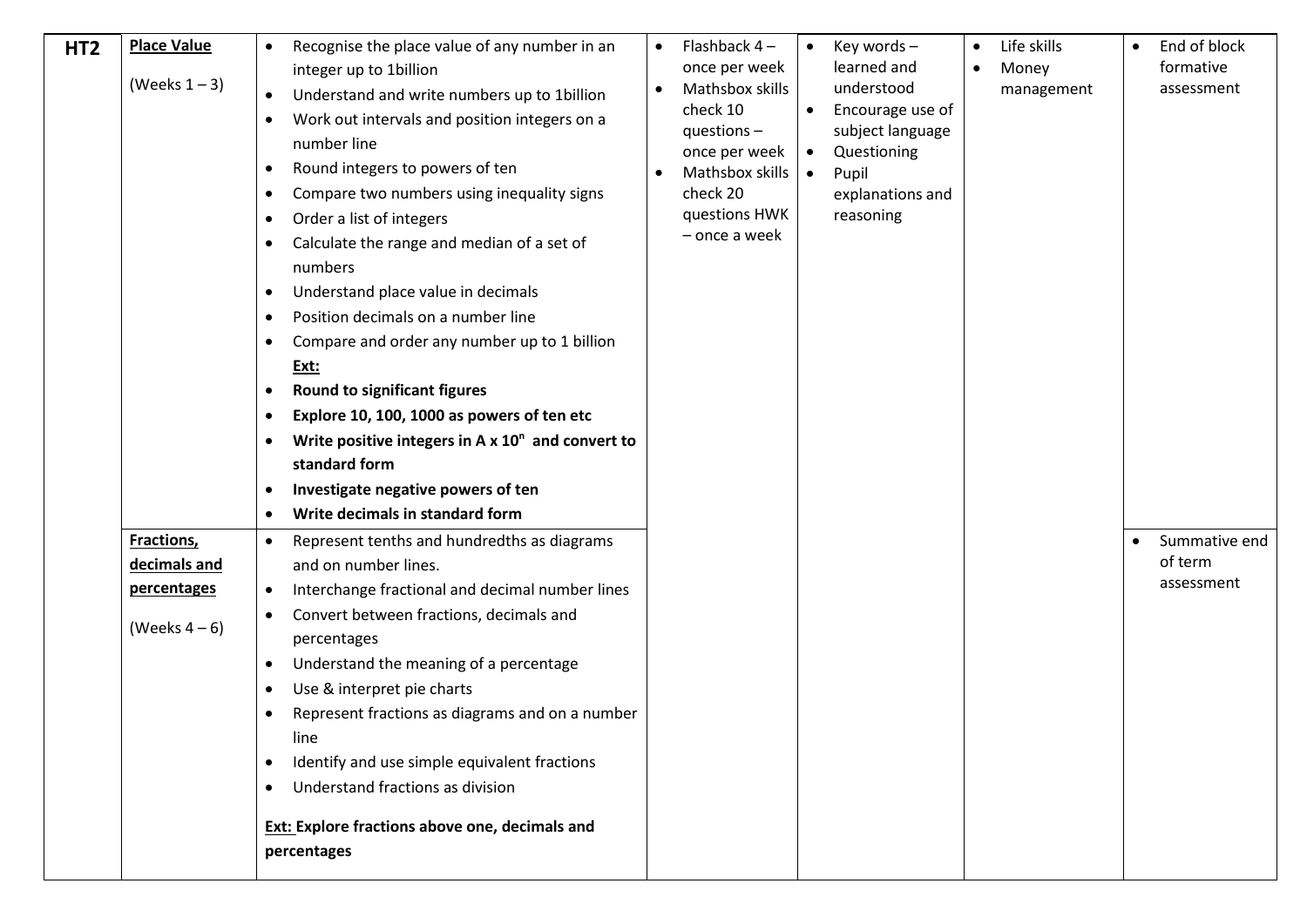| HT <sub>2</sub> | <b>Place Value</b><br>(Weeks $1 - 3$ ) | Recognise the place value of any number in an<br>$\bullet$<br>integer up to 1billion<br>Understand and write numbers up to 1billion<br>$\bullet$<br>Work out intervals and position integers on a<br>$\bullet$<br>number line<br>Round integers to powers of ten<br>$\bullet$<br>Compare two numbers using inequality signs<br>$\bullet$<br>Order a list of integers<br>$\bullet$<br>Calculate the range and median of a set of<br>$\bullet$<br>numbers<br>Understand place value in decimals<br>$\bullet$<br>Position decimals on a number line<br>$\bullet$<br>Compare and order any number up to 1 billion<br>$\bullet$<br>Ext:<br><b>Round to significant figures</b><br>$\bullet$<br>Explore 10, 100, 1000 as powers of ten etc<br>$\bullet$<br>Write positive integers in A $x$ 10 <sup>n</sup> and convert to<br>$\bullet$<br>standard form<br>Investigate negative powers of ten<br>$\bullet$<br>Write decimals in standard form<br>$\bullet$ | Flashback 4-<br>once per week<br>Mathsbox skills<br>check 10<br>questions $-$<br>once per week<br>Mathsbox skills<br>check 20<br>questions HWK<br>- once a week | $\bullet$<br>$\bullet$<br>$\bullet$<br>$\bullet$ | Key words-<br>learned and<br>understood<br>Encourage use of<br>subject language<br>Questioning<br>Pupil<br>explanations and<br>reasoning | $\bullet$<br>$\bullet$ | Life skills<br>Money<br>management | End of block<br>formative<br>assessment |
|-----------------|----------------------------------------|-------------------------------------------------------------------------------------------------------------------------------------------------------------------------------------------------------------------------------------------------------------------------------------------------------------------------------------------------------------------------------------------------------------------------------------------------------------------------------------------------------------------------------------------------------------------------------------------------------------------------------------------------------------------------------------------------------------------------------------------------------------------------------------------------------------------------------------------------------------------------------------------------------------------------------------------------------|-----------------------------------------------------------------------------------------------------------------------------------------------------------------|--------------------------------------------------|------------------------------------------------------------------------------------------------------------------------------------------|------------------------|------------------------------------|-----------------------------------------|
|                 | Fractions,                             | Represent tenths and hundredths as diagrams<br>$\bullet$                                                                                                                                                                                                                                                                                                                                                                                                                                                                                                                                                                                                                                                                                                                                                                                                                                                                                              |                                                                                                                                                                 |                                                  |                                                                                                                                          |                        |                                    | Summative end                           |
|                 | decimals and                           | and on number lines.                                                                                                                                                                                                                                                                                                                                                                                                                                                                                                                                                                                                                                                                                                                                                                                                                                                                                                                                  |                                                                                                                                                                 |                                                  |                                                                                                                                          |                        |                                    | of term                                 |
|                 | percentages<br>(Weeks $4-6$ )          | Interchange fractional and decimal number lines<br>$\bullet$<br>Convert between fractions, decimals and<br>$\bullet$<br>percentages<br>Understand the meaning of a percentage<br>$\bullet$<br>Use & interpret pie charts<br>$\bullet$<br>Represent fractions as diagrams and on a number<br>$\bullet$<br>line<br>Identify and use simple equivalent fractions<br>$\bullet$<br>Understand fractions as division<br>$\bullet$<br><b>Ext: Explore fractions above one, decimals and</b><br>percentages                                                                                                                                                                                                                                                                                                                                                                                                                                                   |                                                                                                                                                                 |                                                  |                                                                                                                                          |                        |                                    | assessment                              |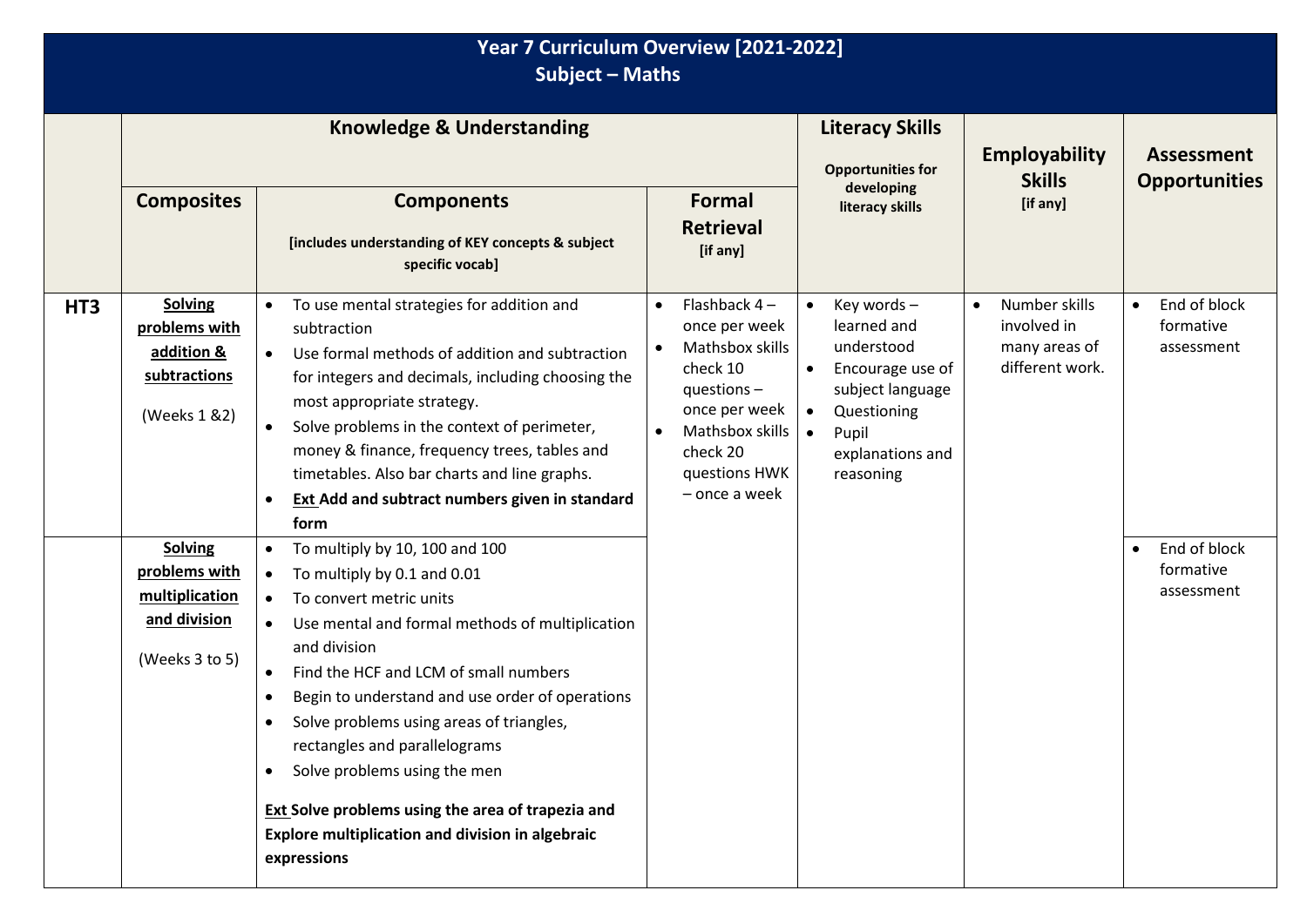|                 | Year 7 Curriculum Overview [2021-2022]<br><b>Subject - Maths</b>                    |                                                                                                                                                                                                                                                                                                                                                                                                                                                                                                                                     |                                                                                                                                                                                             |                                                                                                                                                                     |                                                                               |                                                      |  |
|-----------------|-------------------------------------------------------------------------------------|-------------------------------------------------------------------------------------------------------------------------------------------------------------------------------------------------------------------------------------------------------------------------------------------------------------------------------------------------------------------------------------------------------------------------------------------------------------------------------------------------------------------------------------|---------------------------------------------------------------------------------------------------------------------------------------------------------------------------------------------|---------------------------------------------------------------------------------------------------------------------------------------------------------------------|-------------------------------------------------------------------------------|------------------------------------------------------|--|
|                 | <b>Knowledge &amp; Understanding</b>                                                |                                                                                                                                                                                                                                                                                                                                                                                                                                                                                                                                     |                                                                                                                                                                                             | <b>Literacy Skills</b><br><b>Opportunities for</b>                                                                                                                  | <b>Employability</b><br><b>Skills</b>                                         | <b>Assessment</b><br><b>Opportunities</b>            |  |
|                 | <b>Composites</b>                                                                   | <b>Components</b><br>[includes understanding of KEY concepts & subject<br>specific vocab]                                                                                                                                                                                                                                                                                                                                                                                                                                           | <b>Formal</b><br><b>Retrieval</b><br>[if any]                                                                                                                                               | developing<br>literacy skills                                                                                                                                       | [if any]                                                                      |                                                      |  |
| HT <sub>3</sub> | <b>Solving</b><br>problems with<br>addition &<br>subtractions<br>(Weeks 1 & 2)      | To use mental strategies for addition and<br>$\bullet$<br>subtraction<br>Use formal methods of addition and subtraction<br>$\bullet$<br>for integers and decimals, including choosing the<br>most appropriate strategy.<br>Solve problems in the context of perimeter,<br>money & finance, frequency trees, tables and<br>timetables. Also bar charts and line graphs.<br><b>Ext Add and subtract numbers given in standard</b><br>$\bullet$<br>form                                                                                | Flashback $4-$<br>$\bullet$<br>once per week<br>Mathsbox skills<br>$\bullet$<br>check 10<br>questions $-$<br>once per week<br>Mathsbox skills<br>check 20<br>questions HWK<br>- once a week | Key words -<br>learned and<br>understood<br>Encourage use of<br>$\bullet$<br>subject language<br>Questioning<br>$\bullet$<br>Pupil<br>explanations and<br>reasoning | Number skills<br>$\bullet$<br>involved in<br>many areas of<br>different work. | End of block<br>$\bullet$<br>formative<br>assessment |  |
|                 | <b>Solving</b><br>problems with<br>multiplication<br>and division<br>(Weeks 3 to 5) | To multiply by 10, 100 and 100<br>To multiply by 0.1 and 0.01<br>$\bullet$<br>To convert metric units<br>$\bullet$<br>Use mental and formal methods of multiplication<br>and division<br>Find the HCF and LCM of small numbers<br>Begin to understand and use order of operations<br>Solve problems using areas of triangles,<br>rectangles and parallelograms<br>Solve problems using the men<br>$\bullet$<br>Ext Solve problems using the area of trapezia and<br>Explore multiplication and division in algebraic<br>expressions |                                                                                                                                                                                             |                                                                                                                                                                     |                                                                               | End of block<br>$\bullet$<br>formative<br>assessment |  |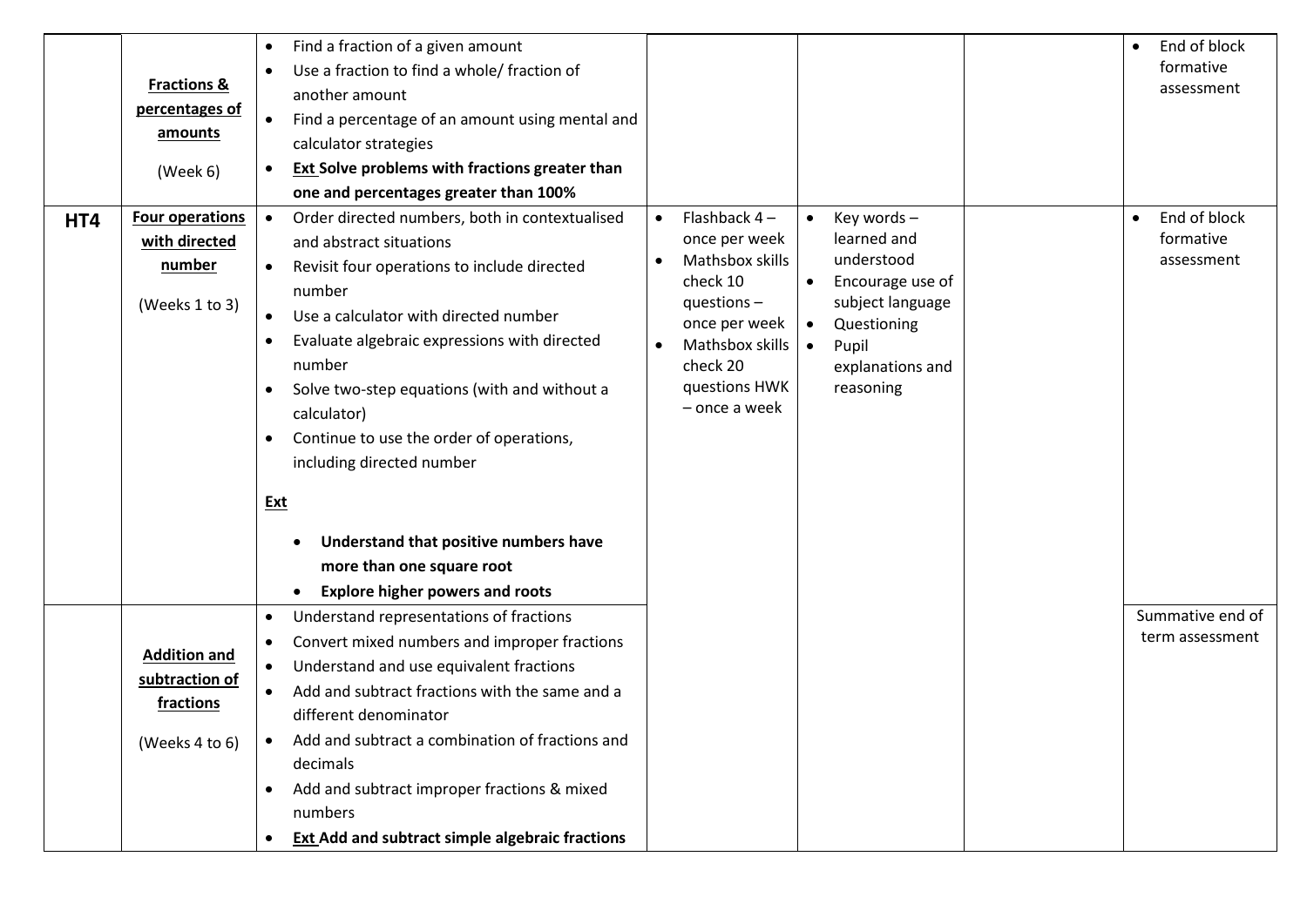|     |                        | Find a fraction of a given amount<br>$\bullet$                      |                                                                           | End of block<br>$\bullet$ |
|-----|------------------------|---------------------------------------------------------------------|---------------------------------------------------------------------------|---------------------------|
|     |                        | Use a fraction to find a whole/ fraction of<br>$\bullet$            |                                                                           | formative                 |
|     | <b>Fractions &amp;</b> | another amount                                                      |                                                                           | assessment                |
|     | percentages of         | Find a percentage of an amount using mental and<br>$\bullet$        |                                                                           |                           |
|     | amounts                | calculator strategies                                               |                                                                           |                           |
|     | (Week 6)               | <b>Ext Solve problems with fractions greater than</b><br>$\bullet$  |                                                                           |                           |
|     |                        | one and percentages greater than 100%                               |                                                                           |                           |
| HT4 | <b>Four operations</b> | Order directed numbers, both in contextualised<br>$\bullet$         | Flashback $4-$<br>Key words-<br>$\bullet$<br>$\bullet$                    | End of block<br>$\bullet$ |
|     | with directed          | and abstract situations                                             | learned and<br>once per week                                              | formative                 |
|     | number                 | Revisit four operations to include directed<br>$\bullet$            | understood<br>Mathsbox skills<br>$\bullet$                                | assessment                |
|     |                        | number                                                              | Encourage use of<br>check 10<br>$\bullet$                                 |                           |
|     | (Weeks 1 to 3)         | Use a calculator with directed number                               | subject language<br>questions $-$                                         |                           |
|     |                        | Evaluate algebraic expressions with directed<br>$\bullet$           | once per week<br>Questioning<br>$\bullet$<br>Mathsbox skills<br>$\bullet$ |                           |
|     |                        | number                                                              | Pupil<br>$\bullet$<br>check 20<br>explanations and                        |                           |
|     |                        | Solve two-step equations (with and without a<br>$\bullet$           | questions HWK<br>reasoning                                                |                           |
|     |                        | calculator)                                                         | - once a week                                                             |                           |
|     |                        | Continue to use the order of operations,<br>$\bullet$               |                                                                           |                           |
|     |                        | including directed number                                           |                                                                           |                           |
|     |                        |                                                                     |                                                                           |                           |
|     |                        | Ext                                                                 |                                                                           |                           |
|     |                        | Understand that positive numbers have<br>$\bullet$                  |                                                                           |                           |
|     |                        | more than one square root                                           |                                                                           |                           |
|     |                        | <b>Explore higher powers and roots</b>                              |                                                                           |                           |
|     |                        | Understand representations of fractions<br>$\bullet$                |                                                                           | Summative end of          |
|     |                        | Convert mixed numbers and improper fractions<br>$\bullet$           |                                                                           | term assessment           |
|     | <b>Addition and</b>    | Understand and use equivalent fractions<br>$\bullet$                |                                                                           |                           |
|     | subtraction of         | Add and subtract fractions with the same and a<br>$\bullet$         |                                                                           |                           |
|     | fractions              | different denominator                                               |                                                                           |                           |
|     | (Weeks 4 to 6)         | Add and subtract a combination of fractions and                     |                                                                           |                           |
|     |                        | decimals                                                            |                                                                           |                           |
|     |                        | Add and subtract improper fractions & mixed<br>$\bullet$            |                                                                           |                           |
|     |                        | numbers                                                             |                                                                           |                           |
|     |                        | <b>Ext Add and subtract simple algebraic fractions</b><br>$\bullet$ |                                                                           |                           |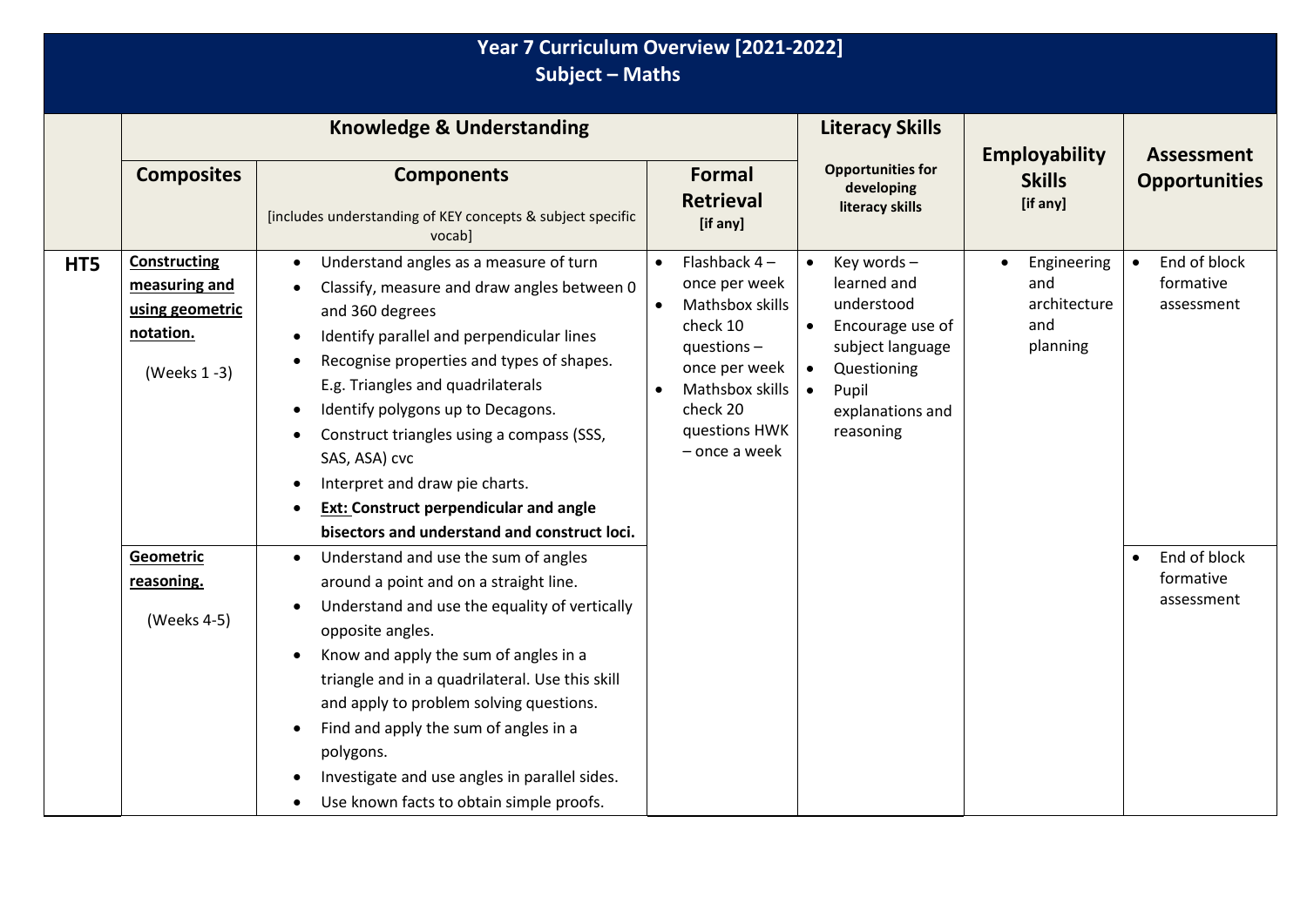|     | Year 7 Curriculum Overview [2021-2022]<br><b>Subject - Maths</b>                    |                                                                                                                                                                                                                                                                                                                                                                                                                                                                                                                                   |                                                                                                                                                                                             |                                                                                                                                                                                  |                                                                    |                                                      |  |  |
|-----|-------------------------------------------------------------------------------------|-----------------------------------------------------------------------------------------------------------------------------------------------------------------------------------------------------------------------------------------------------------------------------------------------------------------------------------------------------------------------------------------------------------------------------------------------------------------------------------------------------------------------------------|---------------------------------------------------------------------------------------------------------------------------------------------------------------------------------------------|----------------------------------------------------------------------------------------------------------------------------------------------------------------------------------|--------------------------------------------------------------------|------------------------------------------------------|--|--|
|     | <b>Composites</b>                                                                   | <b>Knowledge &amp; Understanding</b><br><b>Components</b><br>[includes understanding of KEY concepts & subject specific<br>vocab]                                                                                                                                                                                                                                                                                                                                                                                                 | <b>Formal</b><br><b>Retrieval</b><br>[if any]                                                                                                                                               | <b>Literacy Skills</b><br><b>Opportunities for</b><br>developing<br>literacy skills                                                                                              | <b>Employability</b><br><b>Skills</b><br>[if any]                  | <b>Assessment</b><br><b>Opportunities</b>            |  |  |
| HT5 | <b>Constructing</b><br>measuring and<br>using geometric<br>notation.<br>(Weeks 1-3) | Understand angles as a measure of turn<br>$\bullet$<br>Classify, measure and draw angles between 0<br>and 360 degrees<br>Identify parallel and perpendicular lines<br>$\bullet$<br>Recognise properties and types of shapes.<br>E.g. Triangles and quadrilaterals<br>Identify polygons up to Decagons.<br>$\bullet$<br>Construct triangles using a compass (SSS,<br>$\bullet$<br>SAS, ASA) cvc<br>Interpret and draw pie charts.<br><b>Ext: Construct perpendicular and angle</b><br>bisectors and understand and construct loci. | Flashback $4-$<br>once per week<br>Mathsbox skills<br>$\bullet$<br>check 10<br>questions $-$<br>once per week<br>Mathsbox skills<br>$\bullet$<br>check 20<br>questions HWK<br>– once a week | Key words -<br>learned and<br>understood<br>Encourage use of<br>$\bullet$<br>subject language<br>Questioning<br>$\bullet$<br>Pupil<br>$\bullet$<br>explanations and<br>reasoning | Engineering<br>$\bullet$<br>and<br>architecture<br>and<br>planning | End of block<br>$\bullet$<br>formative<br>assessment |  |  |
|     | Geometric<br>reasoning.<br>(Weeks 4-5)                                              | Understand and use the sum of angles<br>$\bullet$<br>around a point and on a straight line.<br>Understand and use the equality of vertically<br>$\bullet$<br>opposite angles.<br>Know and apply the sum of angles in a<br>$\bullet$<br>triangle and in a quadrilateral. Use this skill<br>and apply to problem solving questions.<br>Find and apply the sum of angles in a<br>$\bullet$<br>polygons.<br>Investigate and use angles in parallel sides.<br>Use known facts to obtain simple proofs.<br>$\bullet$                    |                                                                                                                                                                                             |                                                                                                                                                                                  |                                                                    | End of block<br>$\bullet$<br>formative<br>assessment |  |  |